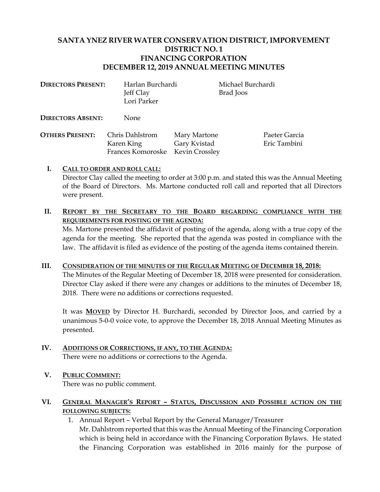# **SANTA YNEZ RIVER WATER CONSERVATION DISTRICT, IMPORVEMENT DISTRICT NO. 1 FINANCING CORPORATION DECEMBER 12, 2019 ANNUAL MEETING MINUTES**

| <b>DIRECTORS PRESENT:</b> | Harlan Burchardi |
|---------------------------|------------------|
|                           | Jeff Clay        |
|                           | Lori Parker      |
|                           |                  |

**Michael Burchardi** Brad Joos

**DIRECTORS ABSENT:** None

**OTHERS PRESENT:** Chris Dahlstrom Mary Martone Paeter Garcia Karen King Gary Kvistad Eric Tambini Frances Komoroske Kevin Crossley

# **I. CALL TO ORDER AND ROLL CALL:**

Director Clay called the meeting to order at 3:00 p.m. and stated this was the Annual Meeting of the Board of Directors. Ms. Martone conducted roll call and reported that all Directors were present.

# **II. REPORT BY THE SECRETARY TO THE BOARD REGARDING COMPLIANCE WITH THE REQUIREMENTS FOR POSTING OF THE AGENDA:**

Ms. Martone presented the affidavit of posting of the agenda, along with a true copy of the agenda for the meeting. She reported that the agenda was posted in compliance with the law. The affidavit is filed as evidence of the posting of the agenda items contained therein.

### **III. CONSIDERATION OF THE MINUTES OF THE REGULAR MEETING OF DECEMBER 18, 2018:**

The Minutes of the Regular Meeting of December 18, 2018 were presented for consideration. Director Clay asked if there were any changes or additions to the minutes of December 18, 2018. There were no additions or corrections requested.

It was **MOVED** by Director H. Burchardi, seconded by Director Joos, and carried by a unanimous 5-0-0 voice vote, to approve the December 18, 2018 Annual Meeting Minutes as presented.

**IV. ADDITIONS OR CORRECTIONS, IF ANY, TO THE AGENDA:**  There were no additions or corrections to the Agenda.

# **V. PUBLIC COMMENT:**

There was no public comment.

- **VI. GENERAL MANAGER'S REPORT – STATUS, DISCUSSION AND POSSIBLE ACTION ON THE FOLLOWING SUBJECTS:** 
	- 1. Annual Report Verbal Report by the General Manager/Treasurer Mr. Dahlstrom reported that this was the Annual Meeting of the Financing Corporation which is being held in accordance with the Financing Corporation Bylaws. He stated the Financing Corporation was established in 2016 mainly for the purpose of